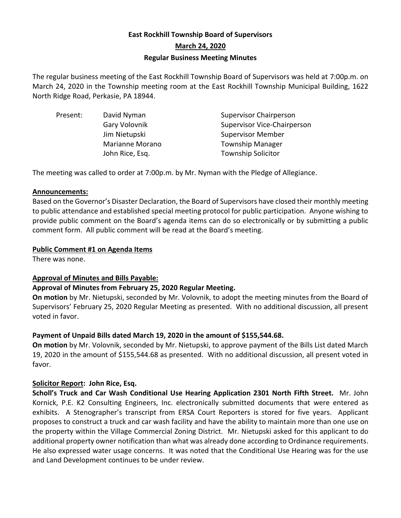# **East Rockhill Township Board of Supervisors March 24, 2020 Regular Business Meeting Minutes**

The regular business meeting of the East Rockhill Township Board of Supervisors was held at 7:00p.m. on March 24, 2020 in the Township meeting room at the East Rockhill Township Municipal Building, 1622 North Ridge Road, Perkasie, PA 18944.

| Present: | David Nyman     | <b>Supervisor Chairperson</b>      |
|----------|-----------------|------------------------------------|
|          | Gary Volovnik   | <b>Supervisor Vice-Chairperson</b> |
|          | Jim Nietupski   | <b>Supervisor Member</b>           |
|          | Marianne Morano | <b>Township Manager</b>            |
|          | John Rice, Esq. | <b>Township Solicitor</b>          |
|          |                 |                                    |

The meeting was called to order at 7:00p.m. by Mr. Nyman with the Pledge of Allegiance.

### **Announcements:**

Based on the Governor's Disaster Declaration, the Board of Supervisors have closed their monthly meeting to public attendance and established special meeting protocol for public participation. Anyone wishing to provide public comment on the Board's agenda items can do so electronically or by submitting a public comment form. All public comment will be read at the Board's meeting.

## **Public Comment #1 on Agenda Items**

There was none.

# **Approval of Minutes and Bills Payable:**

# **Approval of Minutes from February 25, 2020 Regular Meeting.**

**On motion** by Mr. Nietupski, seconded by Mr. Volovnik, to adopt the meeting minutes from the Board of Supervisors' February 25, 2020 Regular Meeting as presented. With no additional discussion, all present voted in favor.

# **Payment of Unpaid Bills dated March 19, 2020 in the amount of \$155,544.68.**

**On motion** by Mr. Volovnik, seconded by Mr. Nietupski, to approve payment of the Bills List dated March 19, 2020 in the amount of \$155,544.68 as presented. With no additional discussion, all present voted in favor.

# **Solicitor Report: John Rice, Esq.**

**Scholl's Truck and Car Wash Conditional Use Hearing Application 2301 North Fifth Street.** Mr. John Kornick, P.E. K2 Consulting Engineers, Inc. electronically submitted documents that were entered as exhibits. A Stenographer's transcript from ERSA Court Reporters is stored for five years. Applicant proposes to construct a truck and car wash facility and have the ability to maintain more than one use on the property within the Village Commercial Zoning District. Mr. Nietupski asked for this applicant to do additional property owner notification than what was already done according to Ordinance requirements. He also expressed water usage concerns. It was noted that the Conditional Use Hearing was for the use and Land Development continues to be under review.